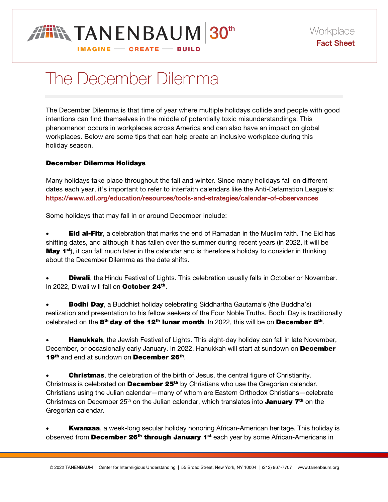

## The December Dilemma

The December Dilemma is that time of year where multiple holidays collide and people with good intentions can find themselves in the middle of potentially toxic misunderstandings. This phenomenon occurs in workplaces across America and can also have an impact on global workplaces. Below are some tips that can help create an inclusive workplace during this holiday season.

## December Dilemma Holidays

Many holidays take place throughout the fall and winter. Since many holidays fall on different dates each year, it's important to refer to interfaith calendars like the Anti-Defamation League's: https://www.adl.org/education/resources/tools-and-strategies/calendar-of-observances

Some holidays that may fall in or around December include:

**Eid al-Fitr**, a celebration that marks the end of Ramadan in the Muslim faith. The Eid has shifting dates, and although it has fallen over the summer during recent years (in 2022, it will be **May 1<sup>st</sup>**), it can fall much later in the calendar and is therefore a holiday to consider in thinking about the December Dilemma as the date shifts.

**Diwali**, the Hindu Festival of Lights. This celebration usually falls in October or November. In 2022, Diwali will fall on October 24<sup>th</sup>.

**Bodhi Day**, a Buddhist holiday celebrating Siddhartha Gautama's (the Buddha's) realization and presentation to his fellow seekers of the Four Noble Truths. Bodhi Day is traditionally celebrated on the  $8<sup>th</sup>$  day of the 12<sup>th</sup> lunar month. In 2022, this will be on December  $8<sup>th</sup>$ .

**Hanukkah**, the Jewish Festival of Lights. This eight-day holiday can fall in late November, December, or occasionally early January. In 2022, Hanukkah will start at sundown on December 19<sup>th</sup> and end at sundown on **December 26<sup>th</sup>.** 

**Christmas**, the celebration of the birth of Jesus, the central figure of Christianity. Christmas is celebrated on **December 25<sup>th</sup>** by Christians who use the Gregorian calendar. Christians using the Julian calendar—many of whom are Eastern Orthodox Christians—celebrate Christmas on December 25<sup>th</sup> on the Julian calendar, which translates into **January 7<sup>th</sup>** on the Gregorian calendar.

**Kwanzaa**, a week-long secular holiday honoring African-American heritage. This holiday is observed from **December 26<sup>th</sup> through January 1st** each year by some African-Americans in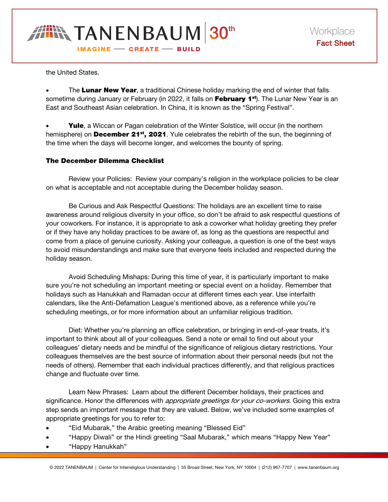

the United States.

The Lunar New Year, a traditional Chinese holiday marking the end of winter that falls sometime during January or February (in 2022, it falls on February 1<sup>st</sup>). The Lunar New Year is an East and Southeast Asian celebration. In China, it is known as the "Spring Festival".

Yule, a Wiccan or Pagan celebration of the Winter Solstice, will occur (in the northern hemisphere) on December 21<sup>st</sup>, 2021. Yule celebrates the rebirth of the sun, the beginning of the time when the days will become longer, and welcomes the bounty of spring.

## The December Dilemma Checklist

 Review your Policies: Review your company's religion in the workplace policies to be clear on what is acceptable and not acceptable during the December holiday season.

 Be Curious and Ask Respectful Questions: The holidays are an excellent time to raise awareness around religious diversity in your office, so don't be afraid to ask respectful questions of your coworkers. For instance, it is appropriate to ask a coworker what holiday greeting they prefer or if they have any holiday practices to be aware of, as long as the questions are respectful and come from a place of genuine curiosity. Asking your colleague, a question is one of the best ways to avoid misunderstandings and make sure that everyone feels included and respected during the holiday season.

 Avoid Scheduling Mishaps: During this time of year, it is particularly important to make sure you're not scheduling an important meeting or special event on a holiday. Remember that holidays such as Hanukkah and Ramadan occur at different times each year. Use interfaith calendars, like the Anti-Defamation League's mentioned above, as a reference while you're scheduling meetings, or for more information about an unfamiliar religious tradition.

 Diet: Whether you're planning an office celebration, or bringing in end-of-year treats, it's important to think about all of your colleagues. Send a note or email to find out about your colleagues' dietary needs and be mindful of the significance of religious dietary restrictions. Your colleagues themselves are the best source of information about their personal needs (but not the needs of others). Remember that each individual practices differently, and that religious practices change and fluctuate over time.

 Learn New Phrases: Learn about the different December holidays, their practices and significance. Honor the differences with *appropriate greetings for your co-workers*. Going this extra step sends an important message that they are valued. Below, we've included some examples of appropriate greetings for you to refer to:

- "Eid Mubarak," the Arabic greeting meaning "Blessed Eid"
- "Happy Diwali" or the Hindi greeting "Saal Mubarak," which means "Happy New Year"
- "Happy Hanukkah"